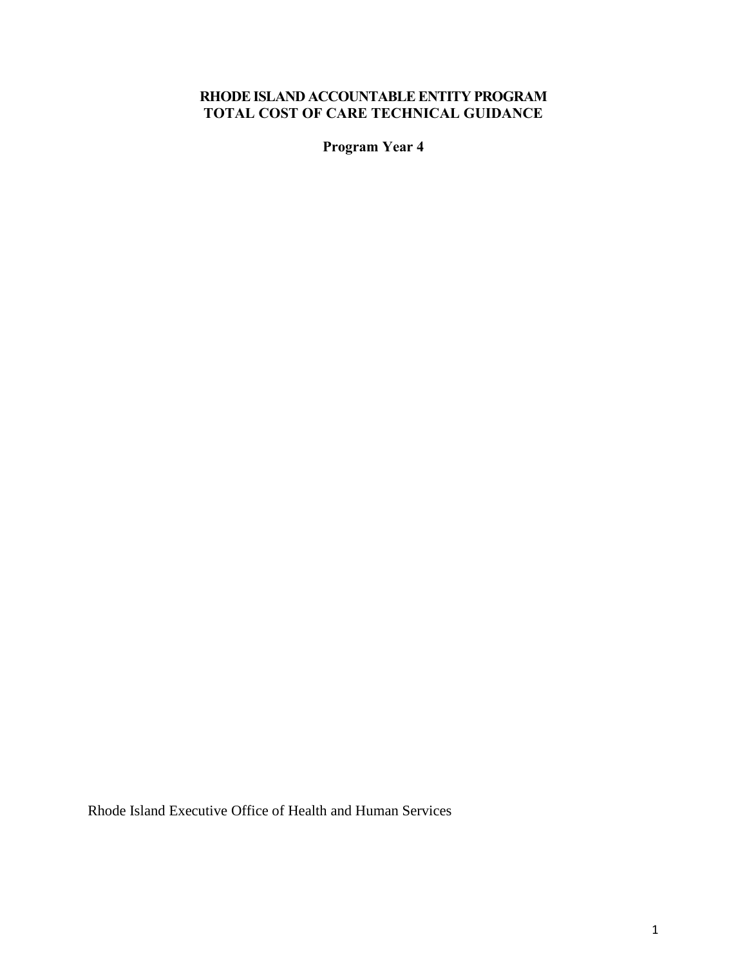# **RHODE ISLAND ACCOUNTABLE ENTITY PROGRAM TOTAL COST OF CARE TECHNICAL GUIDANCE**

**Program Year 4**

Rhode Island Executive Office of Health and Human Services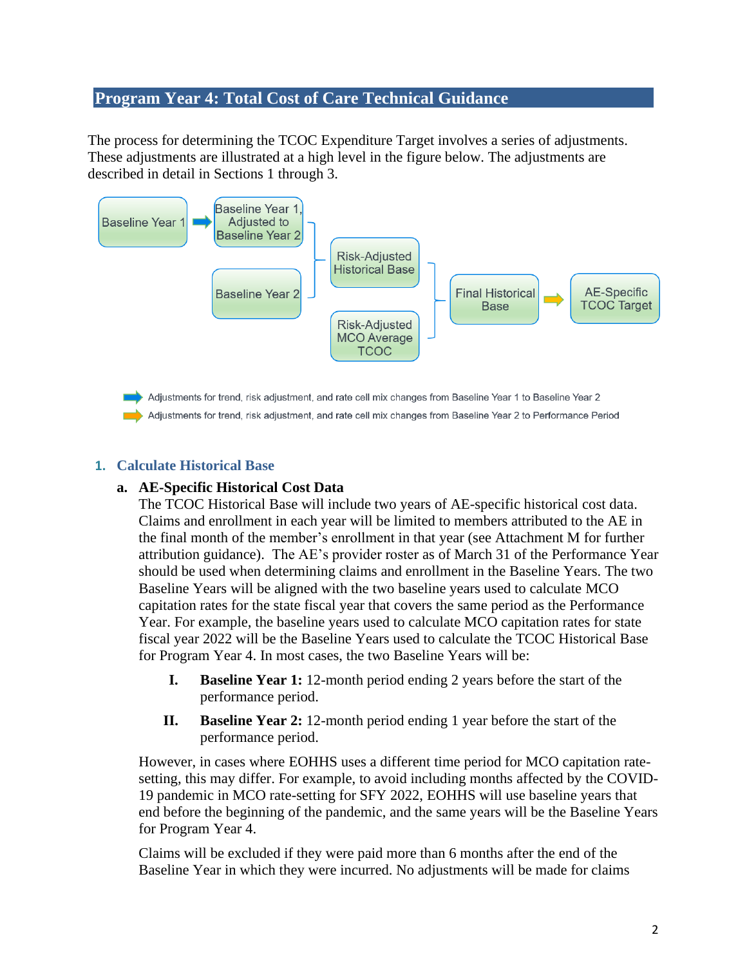# **Program Year 4: Total Cost of Care Technical Guidance**

The process for determining the TCOC Expenditure Target involves a series of adjustments. These adjustments are illustrated at a high level in the figure below. The adjustments are described in detail in Sections 1 through 3.



# **1. Calculate Historical Base**

### **a. AE-Specific Historical Cost Data**

The TCOC Historical Base will include two years of AE-specific historical cost data. Claims and enrollment in each year will be limited to members attributed to the AE in the final month of the member's enrollment in that year (see Attachment M for further attribution guidance). The AE's provider roster as of March 31 of the Performance Year should be used when determining claims and enrollment in the Baseline Years. The two Baseline Years will be aligned with the two baseline years used to calculate MCO capitation rates for the state fiscal year that covers the same period as the Performance Year. For example, the baseline years used to calculate MCO capitation rates for state fiscal year 2022 will be the Baseline Years used to calculate the TCOC Historical Base for Program Year 4. In most cases, the two Baseline Years will be:

- **I. Baseline Year 1:** 12-month period ending 2 years before the start of the performance period.
- **II. Baseline Year 2:** 12-month period ending 1 year before the start of the performance period.

However, in cases where EOHHS uses a different time period for MCO capitation ratesetting, this may differ. For example, to avoid including months affected by the COVID-19 pandemic in MCO rate-setting for SFY 2022, EOHHS will use baseline years that end before the beginning of the pandemic, and the same years will be the Baseline Years for Program Year 4.

Claims will be excluded if they were paid more than 6 months after the end of the Baseline Year in which they were incurred. No adjustments will be made for claims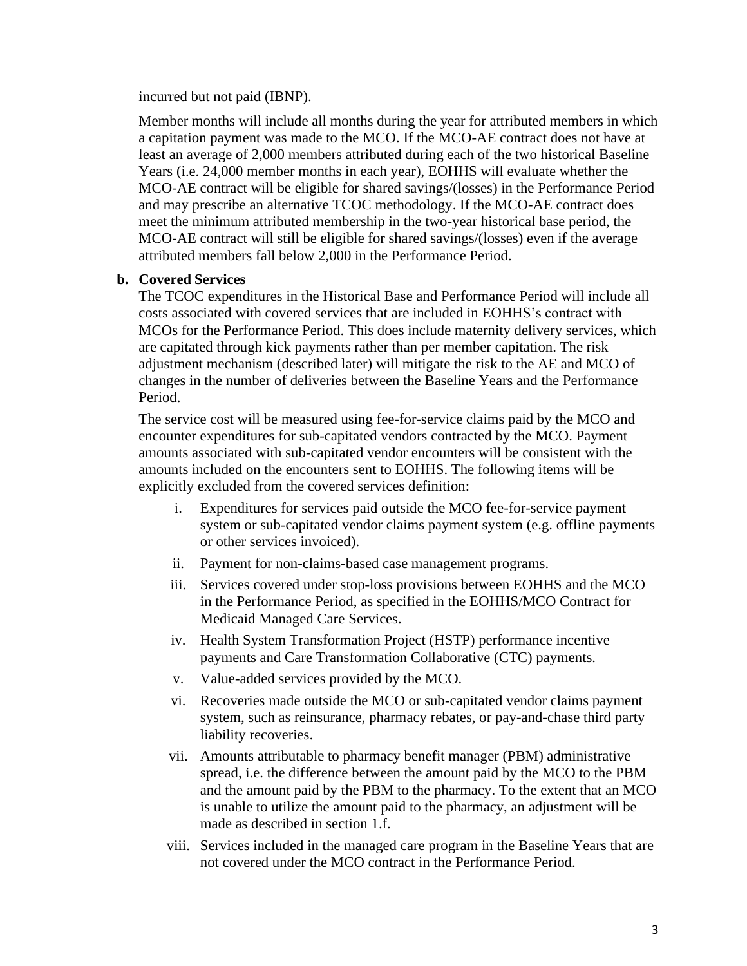incurred but not paid (IBNP).

Member months will include all months during the year for attributed members in which a capitation payment was made to the MCO. If the MCO-AE contract does not have at least an average of 2,000 members attributed during each of the two historical Baseline Years (i.e. 24,000 member months in each year), EOHHS will evaluate whether the MCO-AE contract will be eligible for shared savings/(losses) in the Performance Period and may prescribe an alternative TCOC methodology. If the MCO-AE contract does meet the minimum attributed membership in the two-year historical base period, the MCO-AE contract will still be eligible for shared savings/(losses) even if the average attributed members fall below 2,000 in the Performance Period.

# **b. Covered Services**

The TCOC expenditures in the Historical Base and Performance Period will include all costs associated with covered services that are included in EOHHS's contract with MCOs for the Performance Period. This does include maternity delivery services, which are capitated through kick payments rather than per member capitation. The risk adjustment mechanism (described later) will mitigate the risk to the AE and MCO of changes in the number of deliveries between the Baseline Years and the Performance Period.

The service cost will be measured using fee-for-service claims paid by the MCO and encounter expenditures for sub-capitated vendors contracted by the MCO. Payment amounts associated with sub-capitated vendor encounters will be consistent with the amounts included on the encounters sent to EOHHS. The following items will be explicitly excluded from the covered services definition:

- i. Expenditures for services paid outside the MCO fee-for-service payment system or sub-capitated vendor claims payment system (e.g. offline payments or other services invoiced).
- ii. Payment for non-claims-based case management programs.
- iii. Services covered under stop-loss provisions between EOHHS and the MCO in the Performance Period, as specified in the EOHHS/MCO Contract for Medicaid Managed Care Services.
- iv. Health System Transformation Project (HSTP) performance incentive payments and Care Transformation Collaborative (CTC) payments.
- v. Value-added services provided by the MCO.
- vi. Recoveries made outside the MCO or sub-capitated vendor claims payment system, such as reinsurance, pharmacy rebates, or pay-and-chase third party liability recoveries.
- vii. Amounts attributable to pharmacy benefit manager (PBM) administrative spread, i.e. the difference between the amount paid by the MCO to the PBM and the amount paid by the PBM to the pharmacy. To the extent that an MCO is unable to utilize the amount paid to the pharmacy, an adjustment will be made as described in section 1.f.
- viii. Services included in the managed care program in the Baseline Years that are not covered under the MCO contract in the Performance Period.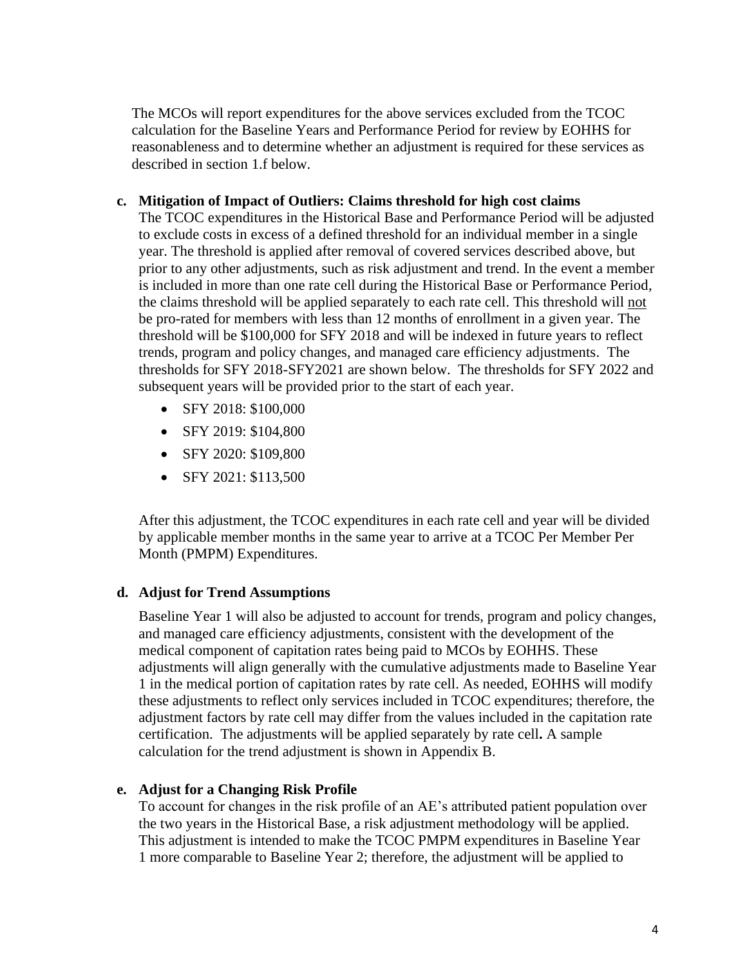The MCOs will report expenditures for the above services excluded from the TCOC calculation for the Baseline Years and Performance Period for review by EOHHS for reasonableness and to determine whether an adjustment is required for these services as described in section 1.f below.

### **c. Mitigation of Impact of Outliers: Claims threshold for high cost claims**

The TCOC expenditures in the Historical Base and Performance Period will be adjusted to exclude costs in excess of a defined threshold for an individual member in a single year. The threshold is applied after removal of covered services described above, but prior to any other adjustments, such as risk adjustment and trend. In the event a member is included in more than one rate cell during the Historical Base or Performance Period, the claims threshold will be applied separately to each rate cell. This threshold will not be pro-rated for members with less than 12 months of enrollment in a given year. The threshold will be \$100,000 for SFY 2018 and will be indexed in future years to reflect trends, program and policy changes, and managed care efficiency adjustments. The thresholds for SFY 2018-SFY2021 are shown below. The thresholds for SFY 2022 and subsequent years will be provided prior to the start of each year.

- SFY 2018: \$100,000
- SFY 2019: \$104,800
- SFY 2020: \$109,800
- SFY 2021: \$113,500

After this adjustment, the TCOC expenditures in each rate cell and year will be divided by applicable member months in the same year to arrive at a TCOC Per Member Per Month (PMPM) Expenditures.

### **d. Adjust for Trend Assumptions**

Baseline Year 1 will also be adjusted to account for trends, program and policy changes, and managed care efficiency adjustments, consistent with the development of the medical component of capitation rates being paid to MCOs by EOHHS. These adjustments will align generally with the cumulative adjustments made to Baseline Year 1 in the medical portion of capitation rates by rate cell. As needed, EOHHS will modify these adjustments to reflect only services included in TCOC expenditures; therefore, the adjustment factors by rate cell may differ from the values included in the capitation rate certification. The adjustments will be applied separately by rate cell**.** A sample calculation for the trend adjustment is shown in Appendix B.

### **e. Adjust for a Changing Risk Profile**

To account for changes in the risk profile of an AE's attributed patient population over the two years in the Historical Base, a risk adjustment methodology will be applied. This adjustment is intended to make the TCOC PMPM expenditures in Baseline Year 1 more comparable to Baseline Year 2; therefore, the adjustment will be applied to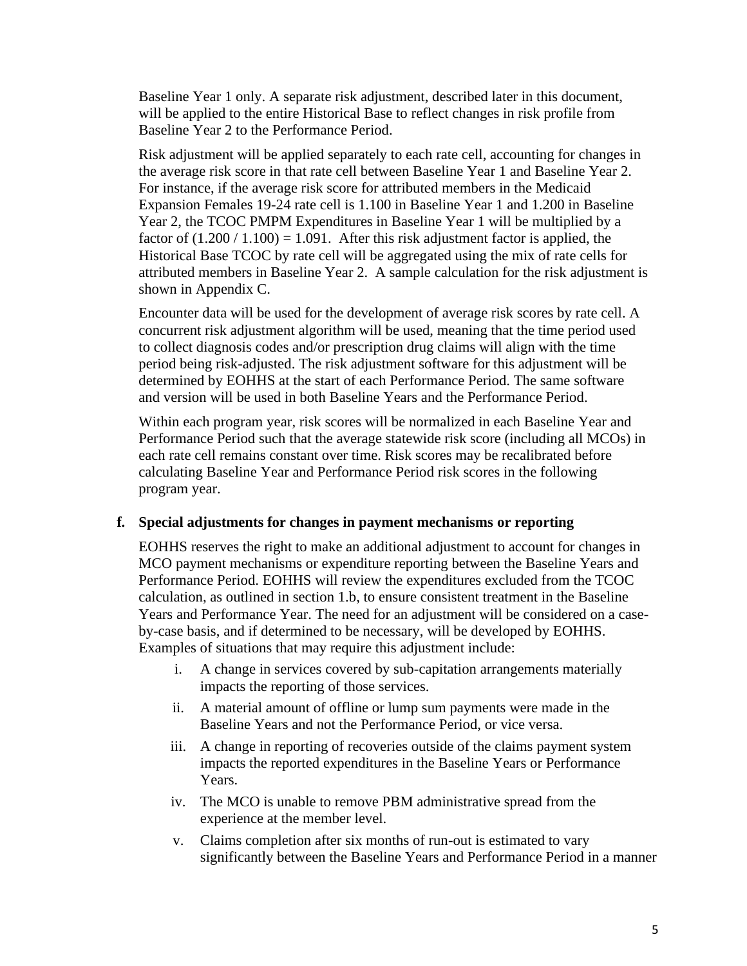Baseline Year 1 only. A separate risk adjustment, described later in this document, will be applied to the entire Historical Base to reflect changes in risk profile from Baseline Year 2 to the Performance Period.

Risk adjustment will be applied separately to each rate cell, accounting for changes in the average risk score in that rate cell between Baseline Year 1 and Baseline Year 2. For instance, if the average risk score for attributed members in the Medicaid Expansion Females 19-24 rate cell is 1.100 in Baseline Year 1 and 1.200 in Baseline Year 2, the TCOC PMPM Expenditures in Baseline Year 1 will be multiplied by a factor of  $(1.200 / 1.100) = 1.091$ . After this risk adjustment factor is applied, the Historical Base TCOC by rate cell will be aggregated using the mix of rate cells for attributed members in Baseline Year 2. A sample calculation for the risk adjustment is shown in Appendix C.

Encounter data will be used for the development of average risk scores by rate cell. A concurrent risk adjustment algorithm will be used, meaning that the time period used to collect diagnosis codes and/or prescription drug claims will align with the time period being risk-adjusted. The risk adjustment software for this adjustment will be determined by EOHHS at the start of each Performance Period. The same software and version will be used in both Baseline Years and the Performance Period.

Within each program year, risk scores will be normalized in each Baseline Year and Performance Period such that the average statewide risk score (including all MCOs) in each rate cell remains constant over time. Risk scores may be recalibrated before calculating Baseline Year and Performance Period risk scores in the following program year.

### **f. Special adjustments for changes in payment mechanisms or reporting**

EOHHS reserves the right to make an additional adjustment to account for changes in MCO payment mechanisms or expenditure reporting between the Baseline Years and Performance Period. EOHHS will review the expenditures excluded from the TCOC calculation, as outlined in section 1.b, to ensure consistent treatment in the Baseline Years and Performance Year. The need for an adjustment will be considered on a caseby-case basis, and if determined to be necessary, will be developed by EOHHS. Examples of situations that may require this adjustment include:

- i. A change in services covered by sub-capitation arrangements materially impacts the reporting of those services.
- ii. A material amount of offline or lump sum payments were made in the Baseline Years and not the Performance Period, or vice versa.
- iii. A change in reporting of recoveries outside of the claims payment system impacts the reported expenditures in the Baseline Years or Performance Years.
- iv. The MCO is unable to remove PBM administrative spread from the experience at the member level.
- v. Claims completion after six months of run-out is estimated to vary significantly between the Baseline Years and Performance Period in a manner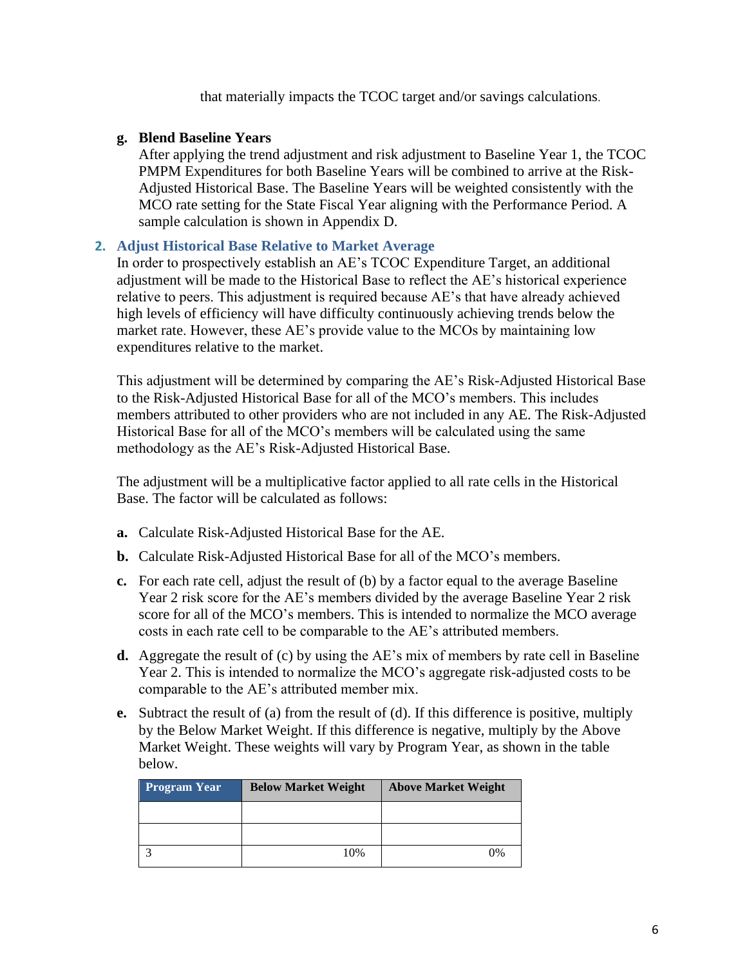that materially impacts the TCOC target and/or savings calculations.

# **g. Blend Baseline Years**

After applying the trend adjustment and risk adjustment to Baseline Year 1, the TCOC PMPM Expenditures for both Baseline Years will be combined to arrive at the Risk-Adjusted Historical Base. The Baseline Years will be weighted consistently with the MCO rate setting for the State Fiscal Year aligning with the Performance Period. A sample calculation is shown in Appendix D.

# **2. Adjust Historical Base Relative to Market Average**

In order to prospectively establish an AE's TCOC Expenditure Target, an additional adjustment will be made to the Historical Base to reflect the AE's historical experience relative to peers. This adjustment is required because AE's that have already achieved high levels of efficiency will have difficulty continuously achieving trends below the market rate. However, these AE's provide value to the MCOs by maintaining low expenditures relative to the market.

This adjustment will be determined by comparing the AE's Risk-Adjusted Historical Base to the Risk-Adjusted Historical Base for all of the MCO's members. This includes members attributed to other providers who are not included in any AE. The Risk-Adjusted Historical Base for all of the MCO's members will be calculated using the same methodology as the AE's Risk-Adjusted Historical Base.

The adjustment will be a multiplicative factor applied to all rate cells in the Historical Base. The factor will be calculated as follows:

- **a.** Calculate Risk-Adjusted Historical Base for the AE.
- **b.** Calculate Risk-Adjusted Historical Base for all of the MCO's members.
- **c.** For each rate cell, adjust the result of (b) by a factor equal to the average Baseline Year 2 risk score for the AE's members divided by the average Baseline Year 2 risk score for all of the MCO's members. This is intended to normalize the MCO average costs in each rate cell to be comparable to the AE's attributed members.
- **d.** Aggregate the result of (c) by using the AE's mix of members by rate cell in Baseline Year 2. This is intended to normalize the MCO's aggregate risk-adjusted costs to be comparable to the AE's attributed member mix.
- **e.** Subtract the result of (a) from the result of (d). If this difference is positive, multiply by the Below Market Weight. If this difference is negative, multiply by the Above Market Weight. These weights will vary by Program Year, as shown in the table below.

| <b>Program Year</b> | <b>Below Market Weight</b> | <b>Above Market Weight</b> |
|---------------------|----------------------------|----------------------------|
|                     |                            |                            |
|                     |                            |                            |
|                     | 10%                        | 0%                         |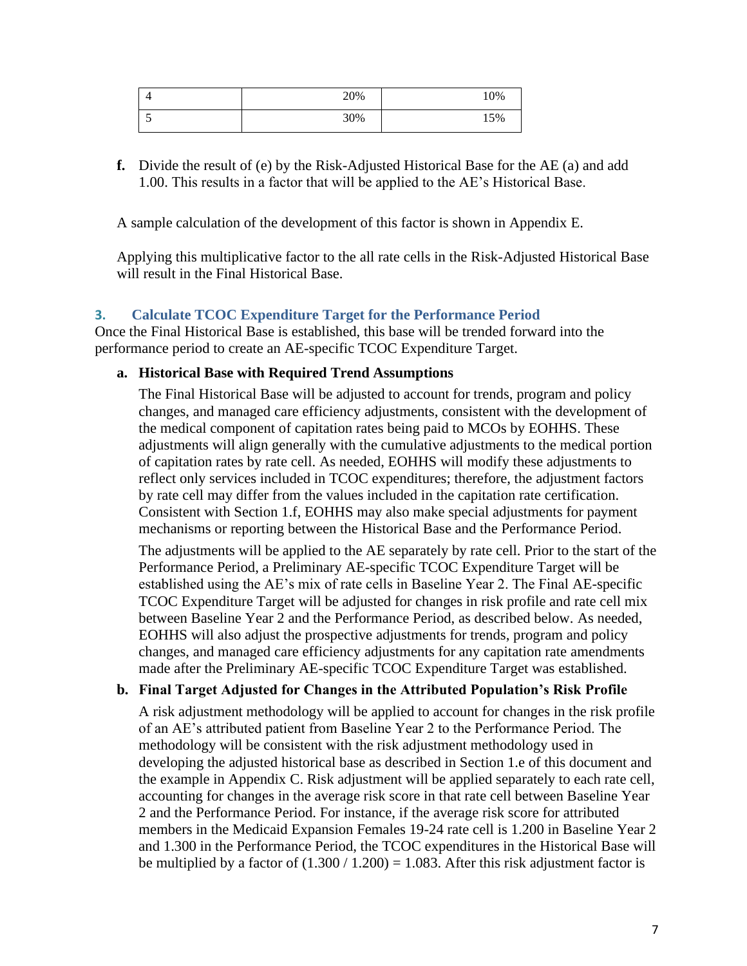| - | 20% | 10% |
|---|-----|-----|
| ັ | 30% | 15% |

**f.** Divide the result of (e) by the Risk-Adjusted Historical Base for the AE (a) and add 1.00. This results in a factor that will be applied to the AE's Historical Base.

A sample calculation of the development of this factor is shown in Appendix E.

Applying this multiplicative factor to the all rate cells in the Risk-Adjusted Historical Base will result in the Final Historical Base.

# **3. Calculate TCOC Expenditure Target for the Performance Period**

Once the Final Historical Base is established, this base will be trended forward into the performance period to create an AE-specific TCOC Expenditure Target.

#### **a. Historical Base with Required Trend Assumptions**

The Final Historical Base will be adjusted to account for trends, program and policy changes, and managed care efficiency adjustments, consistent with the development of the medical component of capitation rates being paid to MCOs by EOHHS. These adjustments will align generally with the cumulative adjustments to the medical portion of capitation rates by rate cell. As needed, EOHHS will modify these adjustments to reflect only services included in TCOC expenditures; therefore, the adjustment factors by rate cell may differ from the values included in the capitation rate certification. Consistent with Section 1.f, EOHHS may also make special adjustments for payment mechanisms or reporting between the Historical Base and the Performance Period.

The adjustments will be applied to the AE separately by rate cell. Prior to the start of the Performance Period, a Preliminary AE-specific TCOC Expenditure Target will be established using the AE's mix of rate cells in Baseline Year 2. The Final AE-specific TCOC Expenditure Target will be adjusted for changes in risk profile and rate cell mix between Baseline Year 2 and the Performance Period, as described below. As needed, EOHHS will also adjust the prospective adjustments for trends, program and policy changes, and managed care efficiency adjustments for any capitation rate amendments made after the Preliminary AE-specific TCOC Expenditure Target was established.

### **b. Final Target Adjusted for Changes in the Attributed Population's Risk Profile**

A risk adjustment methodology will be applied to account for changes in the risk profile of an AE's attributed patient from Baseline Year 2 to the Performance Period. The methodology will be consistent with the risk adjustment methodology used in developing the adjusted historical base as described in Section 1.e of this document and the example in Appendix C. Risk adjustment will be applied separately to each rate cell, accounting for changes in the average risk score in that rate cell between Baseline Year 2 and the Performance Period. For instance, if the average risk score for attributed members in the Medicaid Expansion Females 19-24 rate cell is 1.200 in Baseline Year 2 and 1.300 in the Performance Period, the TCOC expenditures in the Historical Base will be multiplied by a factor of  $(1.300 / 1.200) = 1.083$ . After this risk adjustment factor is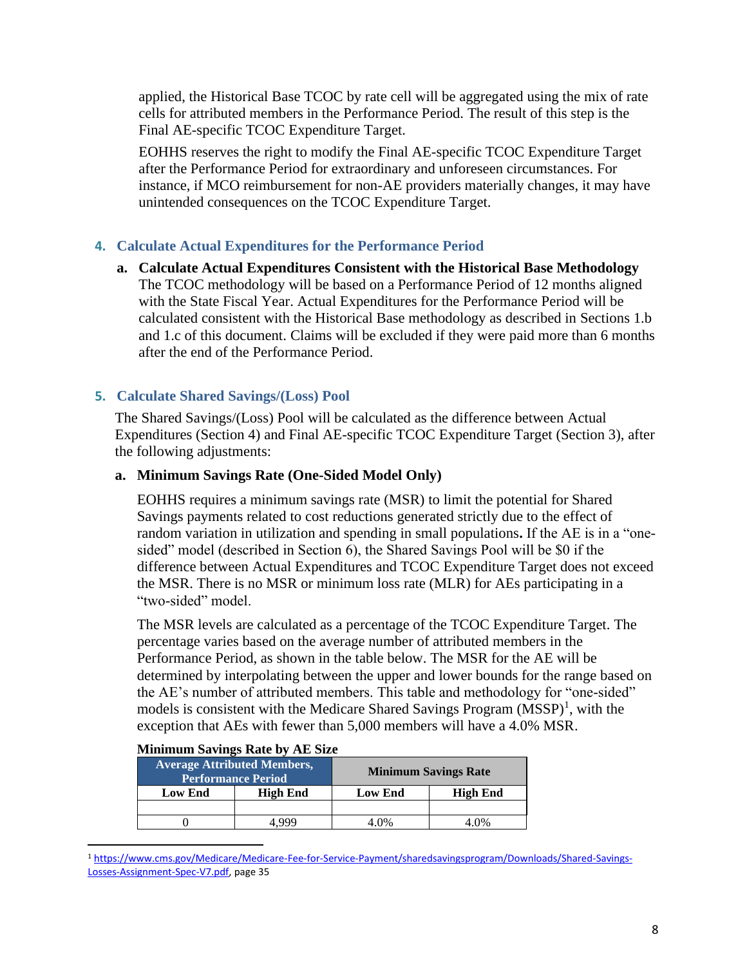applied, the Historical Base TCOC by rate cell will be aggregated using the mix of rate cells for attributed members in the Performance Period. The result of this step is the Final AE-specific TCOC Expenditure Target.

EOHHS reserves the right to modify the Final AE-specific TCOC Expenditure Target after the Performance Period for extraordinary and unforeseen circumstances. For instance, if MCO reimbursement for non-AE providers materially changes, it may have unintended consequences on the TCOC Expenditure Target.

# **4. Calculate Actual Expenditures for the Performance Period**

**a. Calculate Actual Expenditures Consistent with the Historical Base Methodology** The TCOC methodology will be based on a Performance Period of 12 months aligned with the State Fiscal Year. Actual Expenditures for the Performance Period will be calculated consistent with the Historical Base methodology as described in Sections 1.b and 1.c of this document. Claims will be excluded if they were paid more than 6 months after the end of the Performance Period.

# **5. Calculate Shared Savings/(Loss) Pool**

The Shared Savings/(Loss) Pool will be calculated as the difference between Actual Expenditures (Section 4) and Final AE-specific TCOC Expenditure Target (Section 3), after the following adjustments:

# **a. Minimum Savings Rate (One-Sided Model Only)**

EOHHS requires a minimum savings rate (MSR) to limit the potential for Shared Savings payments related to cost reductions generated strictly due to the effect of random variation in utilization and spending in small populations**.** If the AE is in a "onesided" model (described in Section 6), the Shared Savings Pool will be \$0 if the difference between Actual Expenditures and TCOC Expenditure Target does not exceed the MSR. There is no MSR or minimum loss rate (MLR) for AEs participating in a "two-sided" model.

The MSR levels are calculated as a percentage of the TCOC Expenditure Target. The percentage varies based on the average number of attributed members in the Performance Period, as shown in the table below. The MSR for the AE will be determined by interpolating between the upper and lower bounds for the range based on the AE's number of attributed members. This table and methodology for "one-sided" models is consistent with the Medicare Shared Savings Program  $(MSSP)^1$ , with the exception that AEs with fewer than 5,000 members will have a 4.0% MSR.

| <b>Average Attributed Members,</b><br><b>Performance Period</b> |  |                | <b>Minimum Savings Rate</b> |
|-----------------------------------------------------------------|--|----------------|-----------------------------|
| <b>High End</b><br><b>Low End</b>                               |  | <b>Low End</b> | <b>High End</b>             |
|                                                                 |  |                |                             |
|                                                                 |  | $0\%$          | 1.0%                        |

#### **Minimum Savings Rate by AE Size**

<sup>1</sup> [https://www.cms.gov/Medicare/Medicare-Fee-for-Service-Payment/sharedsavingsprogram/Downloads/Shared-Savings-](https://www.cms.gov/Medicare/Medicare-Fee-for-Service-Payment/sharedsavingsprogram/Downloads/Shared-Savings-Losses-Assignment-Spec-V7.pdf)[Losses-Assignment-Spec-V7.pdf,](https://www.cms.gov/Medicare/Medicare-Fee-for-Service-Payment/sharedsavingsprogram/Downloads/Shared-Savings-Losses-Assignment-Spec-V7.pdf) page 35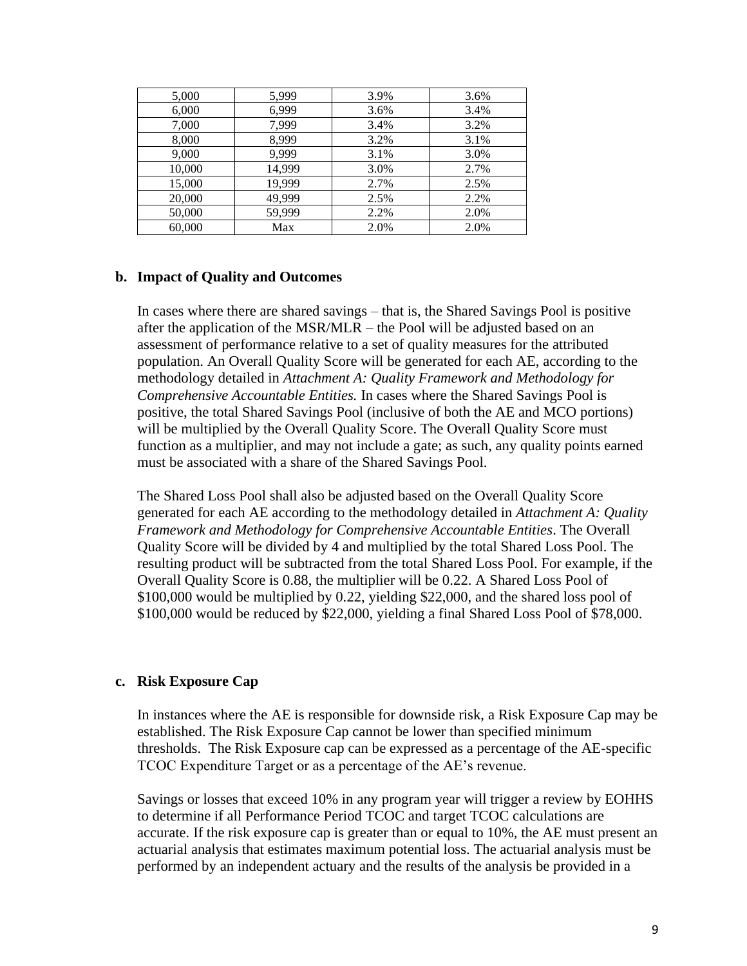| 5,000  | 5,999  | 3.9% | 3.6% |
|--------|--------|------|------|
| 6,000  | 6,999  | 3.6% | 3.4% |
| 7,000  | 7,999  | 3.4% | 3.2% |
| 8,000  | 8,999  | 3.2% | 3.1% |
| 9,000  | 9,999  | 3.1% | 3.0% |
| 10,000 | 14,999 | 3.0% | 2.7% |
| 15,000 | 19,999 | 2.7% | 2.5% |
| 20,000 | 49,999 | 2.5% | 2.2% |
| 50,000 | 59,999 | 2.2% | 2.0% |
| 60,000 | Max    | 2.0% | 2.0% |

#### **b. Impact of Quality and Outcomes**

In cases where there are shared savings – that is, the Shared Savings Pool is positive after the application of the MSR/MLR – the Pool will be adjusted based on an assessment of performance relative to a set of quality measures for the attributed population. An Overall Quality Score will be generated for each AE, according to the methodology detailed in *Attachment A: Quality Framework and Methodology for Comprehensive Accountable Entities.* In cases where the Shared Savings Pool is positive, the total Shared Savings Pool (inclusive of both the AE and MCO portions) will be multiplied by the Overall Quality Score. The Overall Quality Score must function as a multiplier, and may not include a gate; as such, any quality points earned must be associated with a share of the Shared Savings Pool.

The Shared Loss Pool shall also be adjusted based on the Overall Quality Score generated for each AE according to the methodology detailed in *Attachment A: Quality Framework and Methodology for Comprehensive Accountable Entities*. The Overall Quality Score will be divided by 4 and multiplied by the total Shared Loss Pool. The resulting product will be subtracted from the total Shared Loss Pool. For example, if the Overall Quality Score is 0.88, the multiplier will be 0.22. A Shared Loss Pool of \$100,000 would be multiplied by 0.22, yielding \$22,000, and the shared loss pool of \$100,000 would be reduced by \$22,000, yielding a final Shared Loss Pool of \$78,000.

### **c. Risk Exposure Cap**

In instances where the AE is responsible for downside risk, a Risk Exposure Cap may be established. The Risk Exposure Cap cannot be lower than specified minimum thresholds. The Risk Exposure cap can be expressed as a percentage of the AE-specific TCOC Expenditure Target or as a percentage of the AE's revenue.

Savings or losses that exceed 10% in any program year will trigger a review by EOHHS to determine if all Performance Period TCOC and target TCOC calculations are accurate. If the risk exposure cap is greater than or equal to 10%, the AE must present an actuarial analysis that estimates maximum potential loss. The actuarial analysis must be performed by an independent actuary and the results of the analysis be provided in a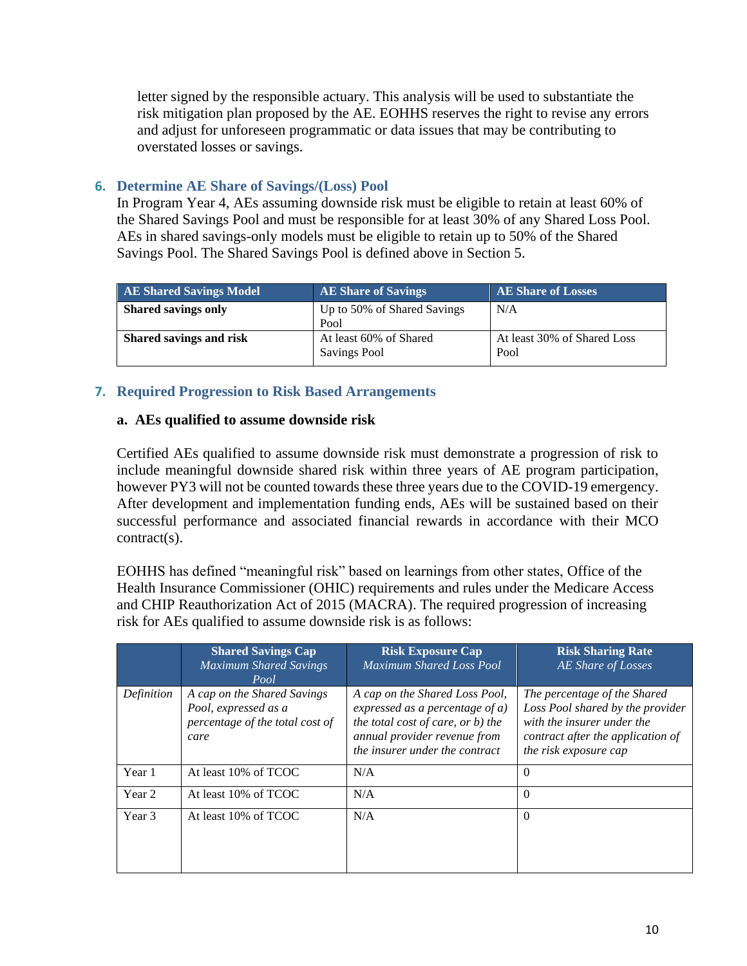letter signed by the responsible actuary. This analysis will be used to substantiate the risk mitigation plan proposed by the AE. EOHHS reserves the right to revise any errors and adjust for unforeseen programmatic or data issues that may be contributing to overstated losses or savings.

# **6. Determine AE Share of Savings/(Loss) Pool**

In Program Year 4, AEs assuming downside risk must be eligible to retain at least 60% of the Shared Savings Pool and must be responsible for at least 30% of any Shared Loss Pool. AEs in shared savings-only models must be eligible to retain up to 50% of the Shared Savings Pool. The Shared Savings Pool is defined above in Section 5.

| <b>AE Shared Savings Model</b> | <b>AE Share of Savings</b>                    | <b>AE Share of Losses</b>           |
|--------------------------------|-----------------------------------------------|-------------------------------------|
| <b>Shared savings only</b>     | Up to 50% of Shared Savings<br>Pool           | N/A                                 |
| Shared savings and risk        | At least 60% of Shared<br><b>Savings Pool</b> | At least 30% of Shared Loss<br>Pool |

# **7. Required Progression to Risk Based Arrangements**

# **a. AEs qualified to assume downside risk**

Certified AEs qualified to assume downside risk must demonstrate a progression of risk to include meaningful downside shared risk within three years of AE program participation, however PY3 will not be counted towards these three years due to the COVID-19 emergency. After development and implementation funding ends, AEs will be sustained based on their successful performance and associated financial rewards in accordance with their MCO contract(s).

EOHHS has defined "meaningful risk" based on learnings from other states, Office of the Health Insurance Commissioner (OHIC) requirements and rules under the Medicare Access and CHIP Reauthorization Act of 2015 (MACRA). The required progression of increasing risk for AEs qualified to assume downside risk is as follows:

|            | <b>Shared Savings Cap</b><br><b>Maximum Shared Savings</b><br>Pool                             | <b>Risk Exposure Cap</b><br><b>Maximum Shared Loss Pool</b>                                                                                                                 | <b>Risk Sharing Rate</b><br>AE Share of Losses                                                                                                               |
|------------|------------------------------------------------------------------------------------------------|-----------------------------------------------------------------------------------------------------------------------------------------------------------------------------|--------------------------------------------------------------------------------------------------------------------------------------------------------------|
| Definition | A cap on the Shared Savings<br>Pool, expressed as a<br>percentage of the total cost of<br>care | A cap on the Shared Loss Pool,<br>expressed as a percentage of $a$ )<br>the total cost of care, or b) the<br>annual provider revenue from<br>the insurer under the contract | The percentage of the Shared<br>Loss Pool shared by the provider<br>with the insurer under the<br>contract after the application of<br>the risk exposure cap |
| Year 1     | At least 10% of TCOC                                                                           | N/A                                                                                                                                                                         | $\Omega$                                                                                                                                                     |
| Year 2     | At least 10% of TCOC                                                                           | N/A                                                                                                                                                                         | $\Omega$                                                                                                                                                     |
| Year 3     | At least 10% of TCOC                                                                           | N/A                                                                                                                                                                         | $\Omega$                                                                                                                                                     |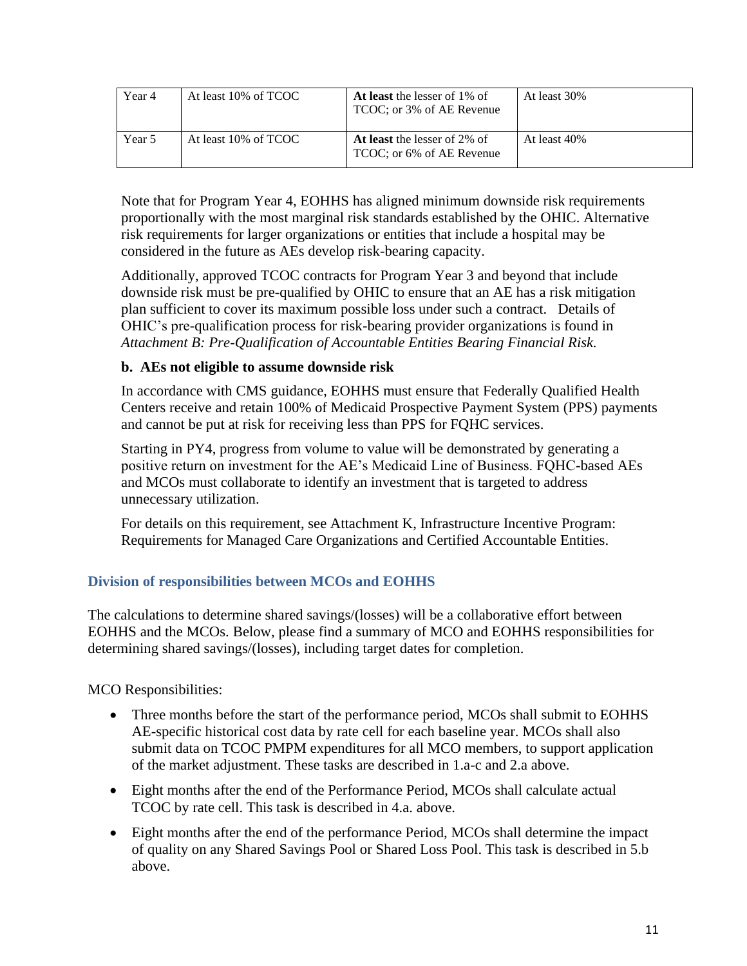| Year 4 | At least 10% of TCOC | At least the lesser of 1% of<br>TCOC; or 3% of AE Revenue  | At least 30% |
|--------|----------------------|------------------------------------------------------------|--------------|
| Year 5 | At least 10% of TCOC | At least the lesser of 2\% of<br>TCOC; or 6% of AE Revenue | At least 40% |

Note that for Program Year 4, EOHHS has aligned minimum downside risk requirements proportionally with the most marginal risk standards established by the OHIC. Alternative risk requirements for larger organizations or entities that include a hospital may be considered in the future as AEs develop risk-bearing capacity.

Additionally, approved TCOC contracts for Program Year 3 and beyond that include downside risk must be pre-qualified by OHIC to ensure that an AE has a risk mitigation plan sufficient to cover its maximum possible loss under such a contract. Details of OHIC's pre-qualification process for risk-bearing provider organizations is found in *Attachment B: Pre-Qualification of Accountable Entities Bearing Financial Risk.*

# **b. AEs not eligible to assume downside risk**

In accordance with CMS guidance, EOHHS must ensure that Federally Qualified Health Centers receive and retain 100% of Medicaid Prospective Payment System (PPS) payments and cannot be put at risk for receiving less than PPS for FQHC services.

Starting in PY4, progress from volume to value will be demonstrated by generating a positive return on investment for the AE's Medicaid Line of Business. FQHC-based AEs and MCOs must collaborate to identify an investment that is targeted to address unnecessary utilization.

For details on this requirement, see Attachment K, Infrastructure Incentive Program: Requirements for Managed Care Organizations and Certified Accountable Entities.

# **Division of responsibilities between MCOs and EOHHS**

The calculations to determine shared savings/(losses) will be a collaborative effort between EOHHS and the MCOs. Below, please find a summary of MCO and EOHHS responsibilities for determining shared savings/(losses), including target dates for completion.

MCO Responsibilities:

- Three months before the start of the performance period, MCOs shall submit to EOHHS AE-specific historical cost data by rate cell for each baseline year. MCOs shall also submit data on TCOC PMPM expenditures for all MCO members, to support application of the market adjustment. These tasks are described in 1.a-c and 2.a above.
- Eight months after the end of the Performance Period, MCOs shall calculate actual TCOC by rate cell. This task is described in 4.a. above.
- Eight months after the end of the performance Period, MCOs shall determine the impact of quality on any Shared Savings Pool or Shared Loss Pool. This task is described in 5.b above.